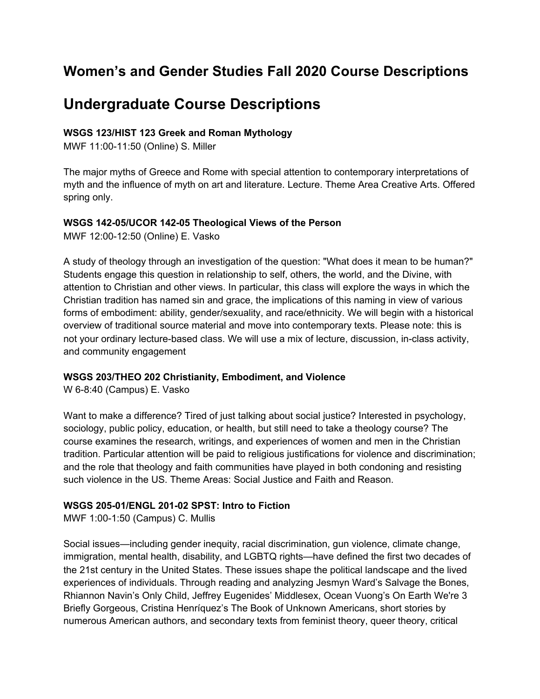# **Women's and Gender Studies Fall 2020 Course Descriptions**

# **Undergraduate Course Descriptions**

## **WSGS 123/HIST 123 Greek and Roman Mythology**

MWF 11:00-11:50 (Online) S. Miller

The major myths of Greece and Rome with special attention to contemporary interpretations of myth and the influence of myth on art and literature. Lecture. Theme Area Creative Arts. Offered spring only.

## **WSGS 142-05/UCOR 142-05 Theological Views of the Person**

MWF 12:00-12:50 (Online) E. Vasko

A study of theology through an investigation of the question: "What does it mean to be human?" Students engage this question in relationship to self, others, the world, and the Divine, with attention to Christian and other views. In particular, this class will explore the ways in which the Christian tradition has named sin and grace, the implications of this naming in view of various forms of embodiment: ability, gender/sexuality, and race/ethnicity. We will begin with a historical overview of traditional source material and move into contemporary texts. Please note: this is not your ordinary lecture-based class. We will use a mix of lecture, discussion, in-class activity, and community engagement

## **WSGS 203/THEO 202 Christianity, Embodiment, and Violence**

W 6-8:40 (Campus) E. Vasko

Want to make a difference? Tired of just talking about social justice? Interested in psychology, sociology, public policy, education, or health, but still need to take a theology course? The course examines the research, writings, and experiences of women and men in the Christian tradition. Particular attention will be paid to religious justifications for violence and discrimination; and the role that theology and faith communities have played in both condoning and resisting such violence in the US. Theme Areas: Social Justice and Faith and Reason.

## **WSGS 205-01/ENGL 201-02 SPST: Intro to Fiction**

MWF 1:00-1:50 (Campus) C. Mullis

Social issues—including gender inequity, racial discrimination, gun violence, climate change, immigration, mental health, disability, and LGBTQ rights—have defined the first two decades of the 21st century in the United States. These issues shape the political landscape and the lived experiences of individuals. Through reading and analyzing Jesmyn Ward's Salvage the Bones, Rhiannon Navin's Only Child, Jeffrey Eugenides' Middlesex, Ocean Vuong's On Earth We're 3 Briefly Gorgeous, Cristina Henríquez's The Book of Unknown Americans, short stories by numerous American authors, and secondary texts from feminist theory, queer theory, critical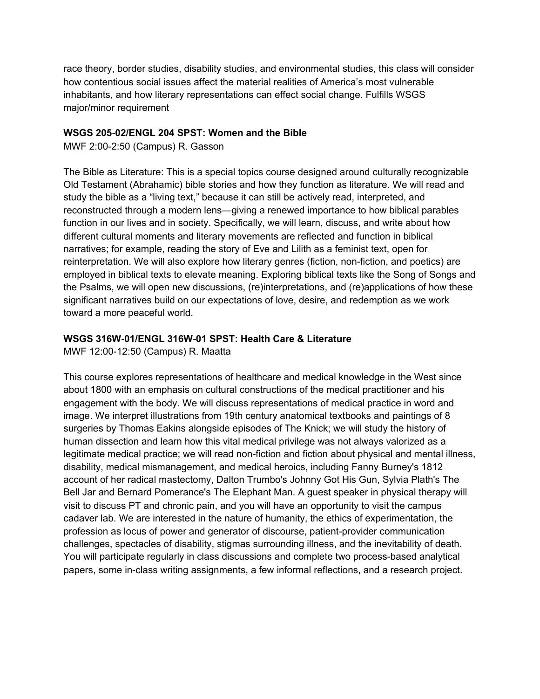race theory, border studies, disability studies, and environmental studies, this class will consider how contentious social issues affect the material realities of America's most vulnerable inhabitants, and how literary representations can effect social change. Fulfills WSGS major/minor requirement

#### **WSGS 205-02/ENGL 204 SPST: Women and the Bible**

MWF 2:00-2:50 (Campus) R. Gasson

The Bible as Literature: This is a special topics course designed around culturally recognizable Old Testament (Abrahamic) bible stories and how they function as literature. We will read and study the bible as a "living text," because it can still be actively read, interpreted, and reconstructed through a modern lens—giving a renewed importance to how biblical parables function in our lives and in society. Specifically, we will learn, discuss, and write about how different cultural moments and literary movements are reflected and function in biblical narratives; for example, reading the story of Eve and Lilith as a feminist text, open for reinterpretation. We will also explore how literary genres (fiction, non-fiction, and poetics) are employed in biblical texts to elevate meaning. Exploring biblical texts like the Song of Songs and the Psalms, we will open new discussions, (re)interpretations, and (re)applications of how these significant narratives build on our expectations of love, desire, and redemption as we work toward a more peaceful world.

## **WSGS 316W-01/ENGL 316W-01 SPST: Health Care & Literature**

MWF 12:00-12:50 (Campus) R. Maatta

This course explores representations of healthcare and medical knowledge in the West since about 1800 with an emphasis on cultural constructions of the medical practitioner and his engagement with the body. We will discuss representations of medical practice in word and image. We interpret illustrations from 19th century anatomical textbooks and paintings of 8 surgeries by Thomas Eakins alongside episodes of The Knick; we will study the history of human dissection and learn how this vital medical privilege was not always valorized as a legitimate medical practice; we will read non-fiction and fiction about physical and mental illness, disability, medical mismanagement, and medical heroics, including Fanny Burney's 1812 account of her radical mastectomy, Dalton Trumbo's Johnny Got His Gun, Sylvia Plath's The Bell Jar and Bernard Pomerance's The Elephant Man. A guest speaker in physical therapy will visit to discuss PT and chronic pain, and you will have an opportunity to visit the campus cadaver lab. We are interested in the nature of humanity, the ethics of experimentation, the profession as locus of power and generator of discourse, patient-provider communication challenges, spectacles of disability, stigmas surrounding illness, and the inevitability of death. You will participate regularly in class discussions and complete two process-based analytical papers, some in-class writing assignments, a few informal reflections, and a research project.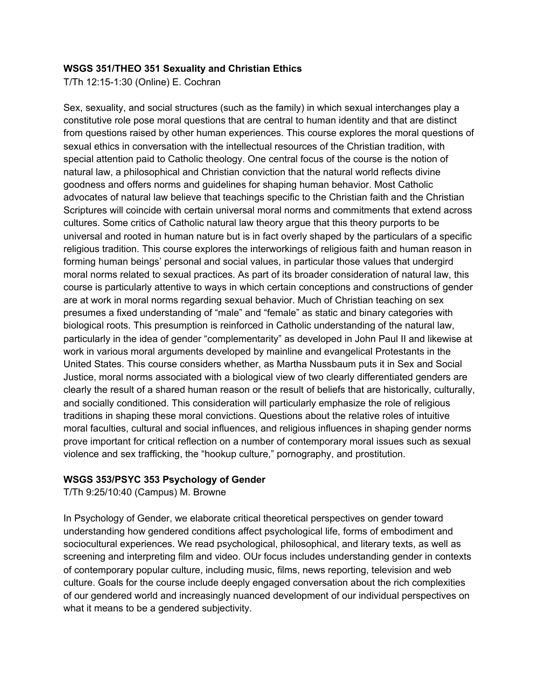#### **WSGS 351/THEO 351 Sexuality and Christian Ethics**

T/Th 12:15-1:30 (Online) E. Cochran

Sex, sexuality, and social structures (such as the family) in which sexual interchanges play a constitutive role pose moral questions that are central to human identity and that are distinct from questions raised by other human experiences. This course explores the moral questions of sexual ethics in conversation with the intellectual resources of the Christian tradition, with special attention paid to Catholic theology. One central focus of the course is the notion of natural law, a philosophical and Christian conviction that the natural world reflects divine goodness and offers norms and guidelines for shaping human behavior. Most Catholic advocates of natural law believe that teachings specific to the Christian faith and the Christian Scriptures will coincide with certain universal moral norms and commitments that extend across cultures. Some critics of Catholic natural law theory argue that this theory purports to be universal and rooted in human nature but is in fact overly shaped by the particulars of a specific religious tradition. This course explores the interworkings of religious faith and human reason in forming human beings' personal and social values, in particular those values that undergird moral norms related to sexual practices. As part of its broader consideration of natural law, this course is particularly attentive to ways in which certain conceptions and constructions of gender are at work in moral norms regarding sexual behavior. Much of Christian teaching on sex presumes a fixed understanding of "male" and "female" as static and binary categories with biological roots. This presumption is reinforced in Catholic understanding of the natural law, particularly in the idea of gender "complementarity" as developed in John Paul II and likewise at work in various moral arguments developed by mainline and evangelical Protestants in the United States. This course considers whether, as Martha Nussbaum puts it in Sex and Social Justice, moral norms associated with a biological view of two clearly differentiated genders are clearly the result of a shared human reason or the result of beliefs that are historically, culturally, and socially conditioned. This consideration will particularly emphasize the role of religious traditions in shaping these moral convictions. Questions about the relative roles of intuitive moral faculties, cultural and social influences, and religious influences in shaping gender norms prove important for critical reflection on a number of contemporary moral issues such as sexual violence and sex trafficking, the "hookup culture," pornography, and prostitution.

## **WSGS 353/PSYC 353 Psychology of Gender**

T/Th 9:25/10:40 (Campus) M. Browne

In Psychology of Gender, we elaborate critical theoretical perspectives on gender toward understanding how gendered conditions affect psychological life, forms of embodiment and sociocultural experiences. We read psychological, philosophical, and literary texts, as well as screening and interpreting film and video. OUr focus includes understanding gender in contexts of contemporary popular culture, including music, films, news reporting, television and web culture. Goals for the course include deeply engaged conversation about the rich complexities of our gendered world and increasingly nuanced development of our individual perspectives on what it means to be a gendered subjectivity.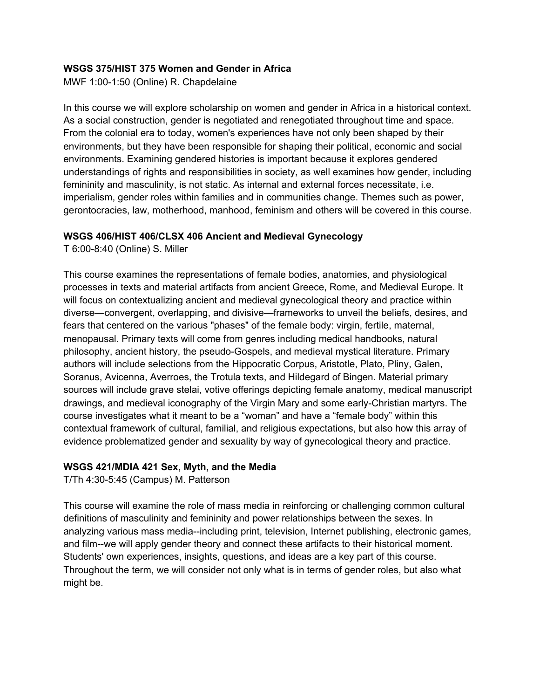## **WSGS 375/HIST 375 Women and Gender in Africa**

MWF 1:00-1:50 (Online) R. Chapdelaine

In this course we will explore scholarship on women and gender in Africa in a historical context. As a social construction, gender is negotiated and renegotiated throughout time and space. From the colonial era to today, women's experiences have not only been shaped by their environments, but they have been responsible for shaping their political, economic and social environments. Examining gendered histories is important because it explores gendered understandings of rights and responsibilities in society, as well examines how gender, including femininity and masculinity, is not static. As internal and external forces necessitate, i.e. imperialism, gender roles within families and in communities change. Themes such as power, gerontocracies, law, motherhood, manhood, feminism and others will be covered in this course.

## **WSGS 406/HIST 406/CLSX 406 Ancient and Medieval Gynecology**

T 6:00-8:40 (Online) S. Miller

This course examines the representations of female bodies, anatomies, and physiological processes in texts and material artifacts from ancient Greece, Rome, and Medieval Europe. It will focus on contextualizing ancient and medieval gynecological theory and practice within diverse—convergent, overlapping, and divisive—frameworks to unveil the beliefs, desires, and fears that centered on the various "phases" of the female body: virgin, fertile, maternal, menopausal. Primary texts will come from genres including medical handbooks, natural philosophy, ancient history, the pseudo-Gospels, and medieval mystical literature. Primary authors will include selections from the Hippocratic Corpus, Aristotle, Plato, Pliny, Galen, Soranus, Avicenna, Averroes, the Trotula texts, and Hildegard of Bingen. Material primary sources will include grave stelai, votive offerings depicting female anatomy, medical manuscript drawings, and medieval iconography of the Virgin Mary and some early-Christian martyrs. The course investigates what it meant to be a "woman" and have a "female body" within this contextual framework of cultural, familial, and religious expectations, but also how this array of evidence problematized gender and sexuality by way of gynecological theory and practice.

## **WSGS 421/MDIA 421 Sex, Myth, and the Media**

T/Th 4:30-5:45 (Campus) M. Patterson

This course will examine the role of mass media in reinforcing or challenging common cultural definitions of masculinity and femininity and power relationships between the sexes. In analyzing various mass media--including print, television, Internet publishing, electronic games, and film--we will apply gender theory and connect these artifacts to their historical moment. Students' own experiences, insights, questions, and ideas are a key part of this course. Throughout the term, we will consider not only what is in terms of gender roles, but also what might be.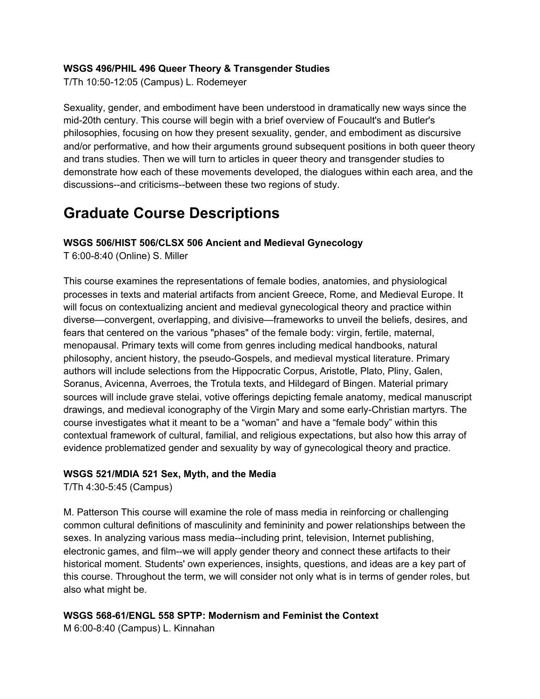## **WSGS 496/PHIL 496 Queer Theory & Transgender Studies**

T/Th 10:50-12:05 (Campus) L. Rodemeyer

Sexuality, gender, and embodiment have been understood in dramatically new ways since the mid-20th century. This course will begin with a brief overview of Foucault's and Butler's philosophies, focusing on how they present sexuality, gender, and embodiment as discursive and/or performative, and how their arguments ground subsequent positions in both queer theory and trans studies. Then we will turn to articles in queer theory and transgender studies to demonstrate how each of these movements developed, the dialogues within each area, and the discussions--and criticisms--between these two regions of study.

# **Graduate Course Descriptions**

## **WSGS 506/HIST 506/CLSX 506 Ancient and Medieval Gynecology**

T 6:00-8:40 (Online) S. Miller

This course examines the representations of female bodies, anatomies, and physiological processes in texts and material artifacts from ancient Greece, Rome, and Medieval Europe. It will focus on contextualizing ancient and medieval gynecological theory and practice within diverse—convergent, overlapping, and divisive—frameworks to unveil the beliefs, desires, and fears that centered on the various "phases" of the female body: virgin, fertile, maternal, menopausal. Primary texts will come from genres including medical handbooks, natural philosophy, ancient history, the pseudo-Gospels, and medieval mystical literature. Primary authors will include selections from the Hippocratic Corpus, Aristotle, Plato, Pliny, Galen, Soranus, Avicenna, Averroes, the Trotula texts, and Hildegard of Bingen. Material primary sources will include grave stelai, votive offerings depicting female anatomy, medical manuscript drawings, and medieval iconography of the Virgin Mary and some early-Christian martyrs. The course investigates what it meant to be a "woman" and have a "female body" within this contextual framework of cultural, familial, and religious expectations, but also how this array of evidence problematized gender and sexuality by way of gynecological theory and practice.

## **WSGS 521/MDIA 521 Sex, Myth, and the Media**

T/Th 4:30-5:45 (Campus)

M. Patterson This course will examine the role of mass media in reinforcing or challenging common cultural definitions of masculinity and femininity and power relationships between the sexes. In analyzing various mass media--including print, television, Internet publishing, electronic games, and film--we will apply gender theory and connect these artifacts to their historical moment. Students' own experiences, insights, questions, and ideas are a key part of this course. Throughout the term, we will consider not only what is in terms of gender roles, but also what might be.

## **WSGS 568-61/ENGL 558 SPTP: Modernism and Feminist the Context**

M 6:00-8:40 (Campus) L. Kinnahan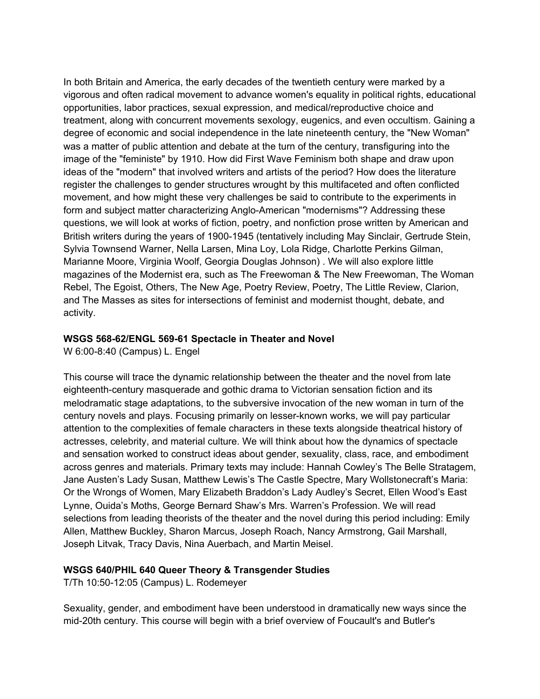In both Britain and America, the early decades of the twentieth century were marked by a vigorous and often radical movement to advance women's equality in political rights, educational opportunities, labor practices, sexual expression, and medical/reproductive choice and treatment, along with concurrent movements sexology, eugenics, and even occultism. Gaining a degree of economic and social independence in the late nineteenth century, the "New Woman" was a matter of public attention and debate at the turn of the century, transfiguring into the image of the "feministe" by 1910. How did First Wave Feminism both shape and draw upon ideas of the "modern" that involved writers and artists of the period? How does the literature register the challenges to gender structures wrought by this multifaceted and often conflicted movement, and how might these very challenges be said to contribute to the experiments in form and subject matter characterizing Anglo-American "modernisms"? Addressing these questions, we will look at works of fiction, poetry, and nonfiction prose written by American and British writers during the years of 1900-1945 (tentatively including May Sinclair, Gertrude Stein, Sylvia Townsend Warner, Nella Larsen, Mina Loy, Lola Ridge, Charlotte Perkins Gilman, Marianne Moore, Virginia Woolf, Georgia Douglas Johnson) . We will also explore little magazines of the Modernist era, such as The Freewoman & The New Freewoman, The Woman Rebel, The Egoist, Others, The New Age, Poetry Review, Poetry, The Little Review, Clarion, and The Masses as sites for intersections of feminist and modernist thought, debate, and activity.

## **WSGS 568-62/ENGL 569-61 Spectacle in Theater and Novel**

W 6:00-8:40 (Campus) L. Engel

This course will trace the dynamic relationship between the theater and the novel from late eighteenth-century masquerade and gothic drama to Victorian sensation fiction and its melodramatic stage adaptations, to the subversive invocation of the new woman in turn of the century novels and plays. Focusing primarily on lesser-known works, we will pay particular attention to the complexities of female characters in these texts alongside theatrical history of actresses, celebrity, and material culture. We will think about how the dynamics of spectacle and sensation worked to construct ideas about gender, sexuality, class, race, and embodiment across genres and materials. Primary texts may include: Hannah Cowley's The Belle Stratagem, Jane Austen's Lady Susan, Matthew Lewis's The Castle Spectre, Mary Wollstonecraft's Maria: Or the Wrongs of Women, Mary Elizabeth Braddon's Lady Audley's Secret, Ellen Wood's East Lynne, Ouida's Moths, George Bernard Shaw's Mrs. Warren's Profession. We will read selections from leading theorists of the theater and the novel during this period including: Emily Allen, Matthew Buckley, Sharon Marcus, Joseph Roach, Nancy Armstrong, Gail Marshall, Joseph Litvak, Tracy Davis, Nina Auerbach, and Martin Meisel.

## **WSGS 640/PHIL 640 Queer Theory & Transgender Studies**

T/Th 10:50-12:05 (Campus) L. Rodemeyer

Sexuality, gender, and embodiment have been understood in dramatically new ways since the mid-20th century. This course will begin with a brief overview of Foucault's and Butler's